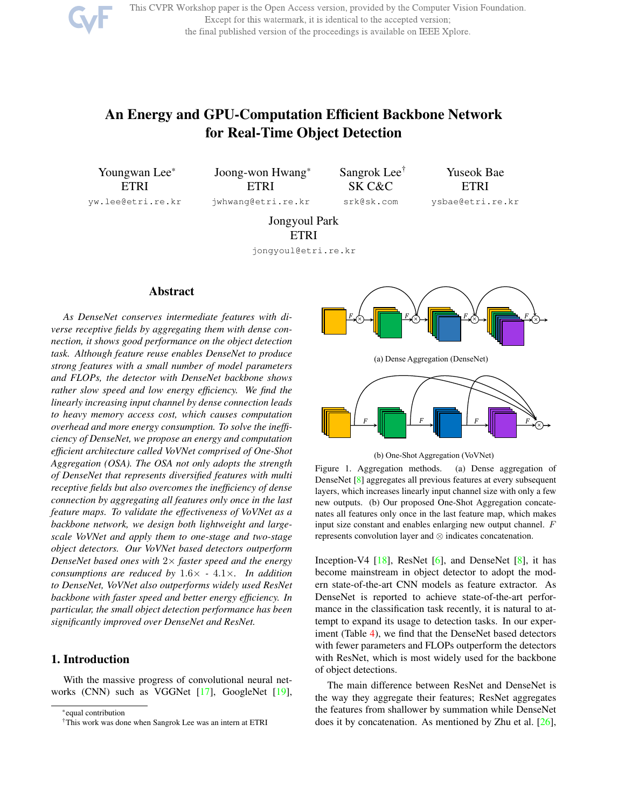

This CVPR Workshop paper is the Open Access version, provided by the Computer Vision Foundation. Except for this watermark, it is identical to the accepted version; the final published version of the proceedings is available on IEEE Xplore.

# An Energy and GPU-Computation Efficient Backbone Network for Real-Time Object Detection

Youngwan Lee\* ETRI yw.lee@etri.re.kr

Joong-won Hwang\* ETRI jwhwang@etri.re.kr Sangrok Lee† SK C&C srk@sk.com

Yuseok Bae **ETRI** 

ysbae@etri.re.kr

Jongyoul Park ETRI

jongyoul@etri.re.kr

# Abstract

*As DenseNet conserves intermediate features with diverse receptive fields by aggregating them with dense connection, it shows good performance on the object detection task. Although feature reuse enables DenseNet to produce strong features with a small number of model parameters and FLOPs, the detector with DenseNet backbone shows rather slow speed and low energy efficiency. We find the linearly increasing input channel by dense connection leads to heavy memory access cost, which causes computation overhead and more energy consumption. To solve the inefficiency of DenseNet, we propose an energy and computation efficient architecture called VoVNet comprised of One-Shot Aggregation (OSA). The OSA not only adopts the strength of DenseNet that represents diversified features with multi receptive fields but also overcomes the inefficiency of dense connection by aggregating all features only once in the last feature maps. To validate the effectiveness of VoVNet as a backbone network, we design both lightweight and largescale VoVNet and apply them to one-stage and two-stage object detectors. Our VoVNet based detectors outperform DenseNet based ones with* 2× *faster speed and the energy consumptions are reduced by* 1.6× *-* 4.1×*. In addition to DenseNet, VoVNet also outperforms widely used ResNet backbone with faster speed and better energy efficiency. In particular, the small object detection performance has been significantly improved over DenseNet and ResNet.*

## 1. Introduction

With the massive progress of convolutional neural networks (CNN) such as VGGNet [17], GoogleNet [19],





(b) One-Shot Aggregation (VoVNet)

Figure 1. Aggregation methods. (a) Dense aggregation of DenseNet [8] aggregates all previous features at every subsequent layers, which increases linearly input channel size with only a few new outputs. (b) Our proposed One-Shot Aggregation concatenates all features only once in the last feature map, which makes input size constant and enables enlarging new output channel. F represents convolution layer and ⊗ indicates concatenation.

Inception-V4 [18], ResNet [6], and DenseNet [8], it has become mainstream in object detector to adopt the modern state-of-the-art CNN models as feature extractor. As DenseNet is reported to achieve state-of-the-art performance in the classification task recently, it is natural to attempt to expand its usage to detection tasks. In our experiment (Table 4), we find that the DenseNet based detectors with fewer parameters and FLOPs outperform the detectors with ResNet, which is most widely used for the backbone of object detections.

The main difference between ResNet and DenseNet is the way they aggregate their features; ResNet aggregates the features from shallower by summation while DenseNet does it by concatenation. As mentioned by Zhu et al. [26],

<sup>\*</sup>equal contribution

<sup>†</sup>This work was done when Sangrok Lee was an intern at ETRI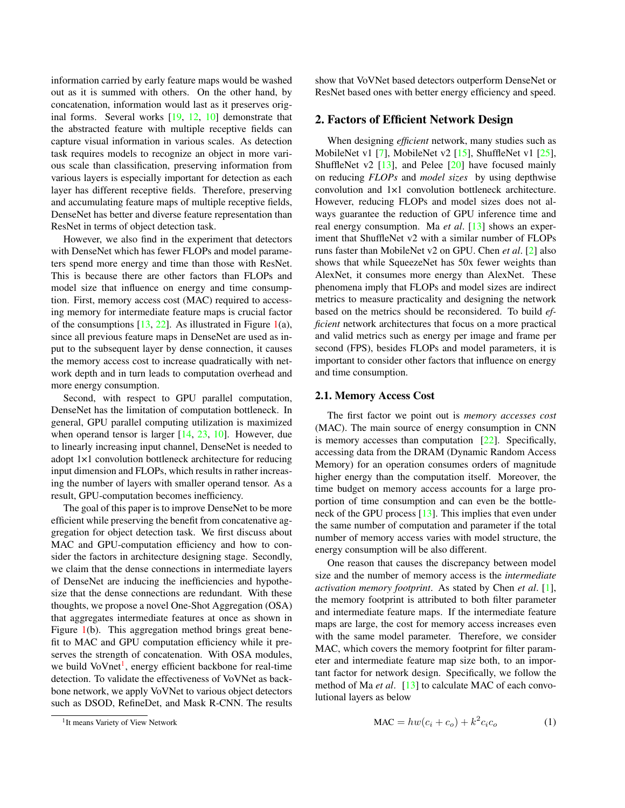information carried by early feature maps would be washed out as it is summed with others. On the other hand, by concatenation, information would last as it preserves original forms. Several works [19, 12, 10] demonstrate that the abstracted feature with multiple receptive fields can capture visual information in various scales. As detection task requires models to recognize an object in more various scale than classification, preserving information from various layers is especially important for detection as each layer has different receptive fields. Therefore, preserving and accumulating feature maps of multiple receptive fields, DenseNet has better and diverse feature representation than ResNet in terms of object detection task.

However, we also find in the experiment that detectors with DenseNet which has fewer FLOPs and model parameters spend more energy and time than those with ResNet. This is because there are other factors than FLOPs and model size that influence on energy and time consumption. First, memory access cost (MAC) required to accessing memory for intermediate feature maps is crucial factor of the consumptions  $[13, 22]$ . As illustrated in Figure 1(a), since all previous feature maps in DenseNet are used as input to the subsequent layer by dense connection, it causes the memory access cost to increase quadratically with network depth and in turn leads to computation overhead and more energy consumption.

Second, with respect to GPU parallel computation, DenseNet has the limitation of computation bottleneck. In general, GPU parallel computing utilization is maximized when operand tensor is larger [14, 23, 10]. However, due to linearly increasing input channel, DenseNet is needed to adopt 1×1 convolution bottleneck architecture for reducing input dimension and FLOPs, which results in rather increasing the number of layers with smaller operand tensor. As a result, GPU-computation becomes inefficiency.

The goal of this paper is to improve DenseNet to be more efficient while preserving the benefit from concatenative aggregation for object detection task. We first discuss about MAC and GPU-computation efficiency and how to consider the factors in architecture designing stage. Secondly, we claim that the dense connections in intermediate layers of DenseNet are inducing the inefficiencies and hypothesize that the dense connections are redundant. With these thoughts, we propose a novel One-Shot Aggregation (OSA) that aggregates intermediate features at once as shown in Figure 1(b). This aggregation method brings great benefit to MAC and GPU computation efficiency while it preserves the strength of concatenation. With OSA modules, we build VoVnet<sup>1</sup>, energy efficient backbone for real-time detection. To validate the effectiveness of VoVNet as backbone network, we apply VoVNet to various object detectors such as DSOD, RefineDet, and Mask R-CNN. The results

show that VoVNet based detectors outperform DenseNet or ResNet based ones with better energy efficiency and speed.

## 2. Factors of Efficient Network Design

When designing *efficient* network, many studies such as MobileNet v1 [7], MobileNet v2 [15], ShuffleNet v1 [25], ShuffleNet v2  $[13]$ , and Pelee  $[20]$  have focused mainly on reducing *FLOPs* and *model sizes* by using depthwise convolution and 1×1 convolution bottleneck architecture. However, reducing FLOPs and model sizes does not always guarantee the reduction of GPU inference time and real energy consumption. Ma *et al*. [13] shows an experiment that ShuffleNet v2 with a similar number of FLOPs runs faster than MobileNet v2 on GPU. Chen *et al*. [2] also shows that while SqueezeNet has 50x fewer weights than AlexNet, it consumes more energy than AlexNet. These phenomena imply that FLOPs and model sizes are indirect metrics to measure practicality and designing the network based on the metrics should be reconsidered. To build *efficient* network architectures that focus on a more practical and valid metrics such as energy per image and frame per second (FPS), besides FLOPs and model parameters, it is important to consider other factors that influence on energy and time consumption.

#### 2.1. Memory Access Cost

The first factor we point out is *memory accesses cost* (MAC). The main source of energy consumption in CNN is memory accesses than computation [22]. Specifically, accessing data from the DRAM (Dynamic Random Access Memory) for an operation consumes orders of magnitude higher energy than the computation itself. Moreover, the time budget on memory access accounts for a large proportion of time consumption and can even be the bottleneck of the GPU process [13]. This implies that even under the same number of computation and parameter if the total number of memory access varies with model structure, the energy consumption will be also different.

One reason that causes the discrepancy between model size and the number of memory access is the *intermediate activation memory footprint*. As stated by Chen *et al*. [1], the memory footprint is attributed to both filter parameter and intermediate feature maps. If the intermediate feature maps are large, the cost for memory access increases even with the same model parameter. Therefore, we consider MAC, which covers the memory footprint for filter parameter and intermediate feature map size both, to an important factor for network design. Specifically, we follow the method of Ma *et al*. [13] to calculate MAC of each convolutional layers as below

$$
MAC = hw(c_i + c_o) + k^2 c_i c_o \tag{1}
$$

<sup>&</sup>lt;sup>1</sup>It means Variety of View Network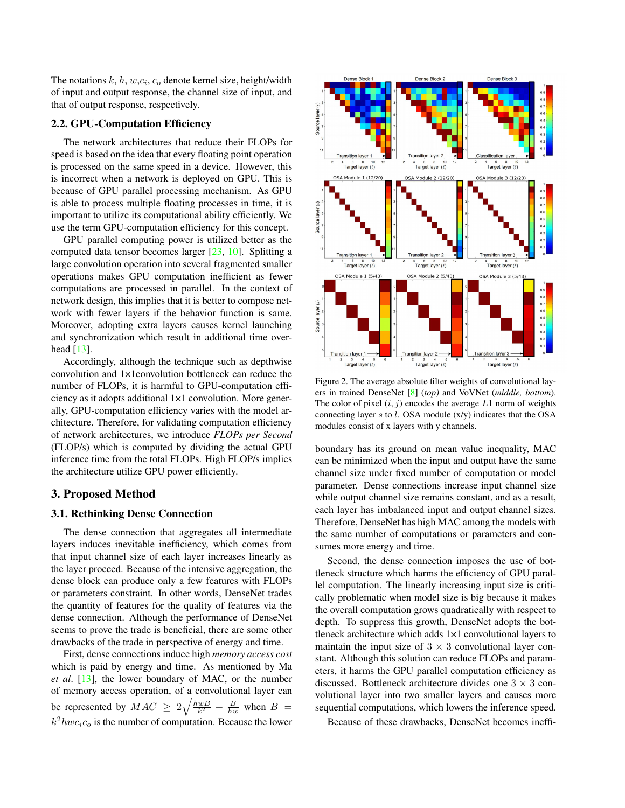The notations  $k, h, w, c_i, c_o$  denote kernel size, height/width of input and output response, the channel size of input, and that of output response, respectively.

# 2.2. GPU-Computation Efficiency

The network architectures that reduce their FLOPs for speed is based on the idea that every floating point operation is processed on the same speed in a device. However, this is incorrect when a network is deployed on GPU. This is because of GPU parallel processing mechanism. As GPU is able to process multiple floating processes in time, it is important to utilize its computational ability efficiently. We use the term GPU-computation efficiency for this concept.

GPU parallel computing power is utilized better as the computed data tensor becomes larger [23, 10]. Splitting a large convolution operation into several fragmented smaller operations makes GPU computation inefficient as fewer computations are processed in parallel. In the context of network design, this implies that it is better to compose network with fewer layers if the behavior function is same. Moreover, adopting extra layers causes kernel launching and synchronization which result in additional time overhead [13].

Accordingly, although the technique such as depthwise convolution and 1×1convolution bottleneck can reduce the number of FLOPs, it is harmful to GPU-computation efficiency as it adopts additional 1×1 convolution. More generally, GPU-computation efficiency varies with the model architecture. Therefore, for validating computation efficiency of network architectures, we introduce *FLOPs per Second* (FLOP/s) which is computed by dividing the actual GPU inference time from the total FLOPs. High FLOP/s implies the architecture utilize GPU power efficiently.

# 3. Proposed Method

#### 3.1. Rethinking Dense Connection

The dense connection that aggregates all intermediate layers induces inevitable inefficiency, which comes from that input channel size of each layer increases linearly as the layer proceed. Because of the intensive aggregation, the dense block can produce only a few features with FLOPs or parameters constraint. In other words, DenseNet trades the quantity of features for the quality of features via the dense connection. Although the performance of DenseNet seems to prove the trade is beneficial, there are some other drawbacks of the trade in perspective of energy and time.

First, dense connections induce high *memory access cost* which is paid by energy and time. As mentioned by Ma *et al*. [13], the lower boundary of MAC, or the number of memory access operation, of a convolutional layer can be represented by  $MAC \ge 2\sqrt{\frac{hwB}{k^2} + \frac{B}{hw}}$  when  $B =$  $k^2 h w c_i c_o$  is the number of computation. Because the lower



Figure 2. The average absolute filter weights of convolutional layers in trained DenseNet [8] (*top)* and VoVNet (*middle, bottom*). The color of pixel  $(i, j)$  encodes the average  $L1$  norm of weights connecting layer  $s$  to  $l$ . OSA module  $(x/y)$  indicates that the OSA modules consist of x layers with y channels.

boundary has its ground on mean value inequality, MAC can be minimized when the input and output have the same channel size under fixed number of computation or model parameter. Dense connections increase input channel size while output channel size remains constant, and as a result, each layer has imbalanced input and output channel sizes. Therefore, DenseNet has high MAC among the models with the same number of computations or parameters and consumes more energy and time.

Second, the dense connection imposes the use of bottleneck structure which harms the efficiency of GPU parallel computation. The linearly increasing input size is critically problematic when model size is big because it makes the overall computation grows quadratically with respect to depth. To suppress this growth, DenseNet adopts the bottleneck architecture which adds 1×1 convolutional layers to maintain the input size of  $3 \times 3$  convolutional layer constant. Although this solution can reduce FLOPs and parameters, it harms the GPU parallel computation efficiency as discussed. Bottleneck architecture divides one  $3 \times 3$  convolutional layer into two smaller layers and causes more sequential computations, which lowers the inference speed.

Because of these drawbacks, DenseNet becomes ineffi-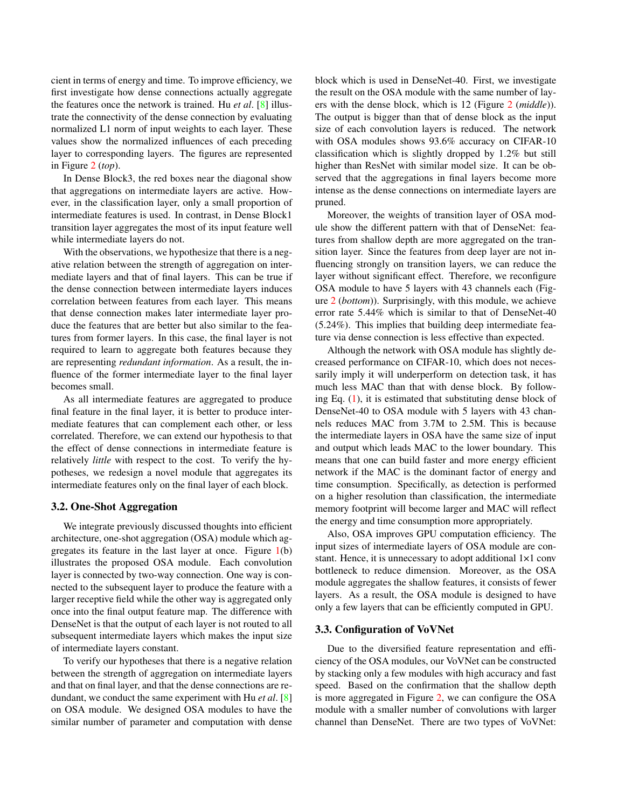cient in terms of energy and time. To improve efficiency, we first investigate how dense connections actually aggregate the features once the network is trained. Hu *et al*. [8] illustrate the connectivity of the dense connection by evaluating normalized L1 norm of input weights to each layer. These values show the normalized influences of each preceding layer to corresponding layers. The figures are represented in Figure 2 (*top*).

In Dense Block3, the red boxes near the diagonal show that aggregations on intermediate layers are active. However, in the classification layer, only a small proportion of intermediate features is used. In contrast, in Dense Block1 transition layer aggregates the most of its input feature well while intermediate layers do not.

With the observations, we hypothesize that there is a negative relation between the strength of aggregation on intermediate layers and that of final layers. This can be true if the dense connection between intermediate layers induces correlation between features from each layer. This means that dense connection makes later intermediate layer produce the features that are better but also similar to the features from former layers. In this case, the final layer is not required to learn to aggregate both features because they are representing *redundant information*. As a result, the influence of the former intermediate layer to the final layer becomes small.

As all intermediate features are aggregated to produce final feature in the final layer, it is better to produce intermediate features that can complement each other, or less correlated. Therefore, we can extend our hypothesis to that the effect of dense connections in intermediate feature is relatively *little* with respect to the cost. To verify the hypotheses, we redesign a novel module that aggregates its intermediate features only on the final layer of each block.

#### 3.2. One-Shot Aggregation

We integrate previously discussed thoughts into efficient architecture, one-shot aggregation (OSA) module which aggregates its feature in the last layer at once. Figure 1(b) illustrates the proposed OSA module. Each convolution layer is connected by two-way connection. One way is connected to the subsequent layer to produce the feature with a larger receptive field while the other way is aggregated only once into the final output feature map. The difference with DenseNet is that the output of each layer is not routed to all subsequent intermediate layers which makes the input size of intermediate layers constant.

To verify our hypotheses that there is a negative relation between the strength of aggregation on intermediate layers and that on final layer, and that the dense connections are redundant, we conduct the same experiment with Hu *et al*. [8] on OSA module. We designed OSA modules to have the similar number of parameter and computation with dense block which is used in DenseNet-40. First, we investigate the result on the OSA module with the same number of layers with the dense block, which is 12 (Figure 2 (*middle*)). The output is bigger than that of dense block as the input size of each convolution layers is reduced. The network with OSA modules shows 93.6% accuracy on CIFAR-10 classification which is slightly dropped by 1.2% but still higher than ResNet with similar model size. It can be observed that the aggregations in final layers become more intense as the dense connections on intermediate layers are pruned.

Moreover, the weights of transition layer of OSA module show the different pattern with that of DenseNet: features from shallow depth are more aggregated on the transition layer. Since the features from deep layer are not influencing strongly on transition layers, we can reduce the layer without significant effect. Therefore, we reconfigure OSA module to have 5 layers with 43 channels each (Figure 2 (*bottom*)). Surprisingly, with this module, we achieve error rate 5.44% which is similar to that of DenseNet-40 (5.24%). This implies that building deep intermediate feature via dense connection is less effective than expected.

Although the network with OSA module has slightly decreased performance on CIFAR-10, which does not necessarily imply it will underperform on detection task, it has much less MAC than that with dense block. By following Eq. (1), it is estimated that substituting dense block of DenseNet-40 to OSA module with 5 layers with 43 channels reduces MAC from 3.7M to 2.5M. This is because the intermediate layers in OSA have the same size of input and output which leads MAC to the lower boundary. This means that one can build faster and more energy efficient network if the MAC is the dominant factor of energy and time consumption. Specifically, as detection is performed on a higher resolution than classification, the intermediate memory footprint will become larger and MAC will reflect the energy and time consumption more appropriately.

Also, OSA improves GPU computation efficiency. The input sizes of intermediate layers of OSA module are constant. Hence, it is unnecessary to adopt additional 1×1 conv bottleneck to reduce dimension. Moreover, as the OSA module aggregates the shallow features, it consists of fewer layers. As a result, the OSA module is designed to have only a few layers that can be efficiently computed in GPU.

#### 3.3. Configuration of VoVNet

Due to the diversified feature representation and efficiency of the OSA modules, our VoVNet can be constructed by stacking only a few modules with high accuracy and fast speed. Based on the confirmation that the shallow depth is more aggregated in Figure 2, we can configure the OSA module with a smaller number of convolutions with larger channel than DenseNet. There are two types of VoVNet: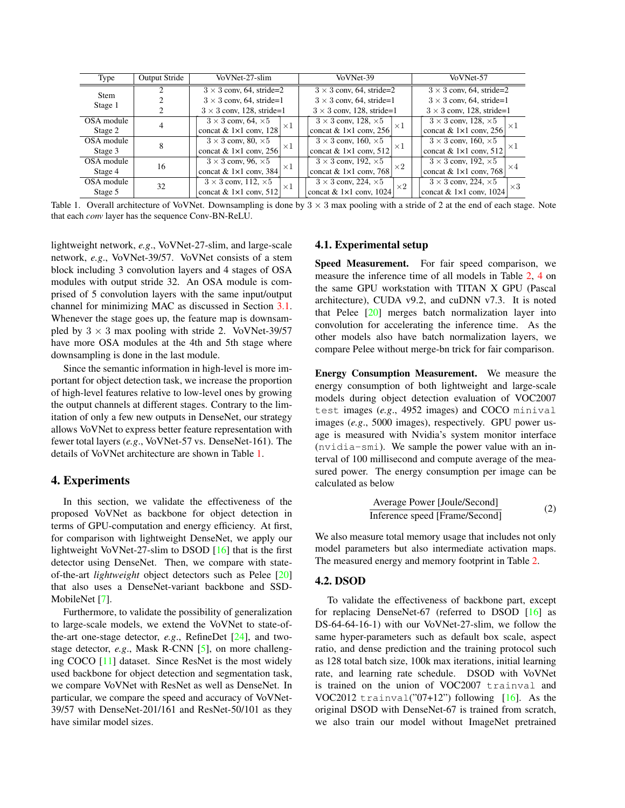| Type       | <b>Output Stride</b> | VoVNet-27-slim                     | VoVNet-39  | VoVNet-57                          |                                  |                                                  |  |  |
|------------|----------------------|------------------------------------|------------|------------------------------------|----------------------------------|--------------------------------------------------|--|--|
| Stem       |                      | $3 \times 3$ conv, 64, stride=2    |            | $3 \times 3$ conv, 64, stride=2    |                                  | $3 \times 3$ conv, 64, stride=2                  |  |  |
| Stage 1    |                      | $3 \times 3$ conv, 64, stride=1    |            | $3 \times 3$ conv, 64, stride=1    |                                  | $3 \times 3$ conv, 64, stride=1                  |  |  |
|            |                      | $3 \times 3$ conv, 128, stride=1   |            | $3 \times 3$ conv, 128, stride=1   | $3 \times 3$ conv, 128, stride=1 |                                                  |  |  |
| OSA module |                      | $3 \times 3$ conv, 64, $\times 5$  | $\times 1$ | $3 \times 3$ conv, 128, $\times 5$ | $\times 1$                       | $3 \times 3$ conv, 128, $\times 5$<br>$\times 1$ |  |  |
| Stage 2    |                      | concat & $1\times1$ conv, 128      |            | concat & $1\times1$ conv, 256      |                                  | concat & $1\times1$ conv, 256                    |  |  |
| OSA module | 8                    | $3 \times 3$ conv, 80, $\times 5$  | $\times 1$ | $3 \times 3$ conv, 160, $\times 5$ | $\times 1$                       | $3 \times 3$ conv, 160, $\times 5$<br>$\times 1$ |  |  |
| Stage 3    |                      | concat & $1\times1$ conv, 256      |            | concat & $1\times1$ conv, 512      |                                  | concat & $1\times1$ conv, 512                    |  |  |
| OSA module | 16                   | $3 \times 3$ conv, 96, $\times 5$  | $\times 1$ | $3 \times 3$ conv, 192, $\times 5$ | $\times 2$                       | $3 \times 3$ conv, 192, $\times 5$<br>$\times 4$ |  |  |
| Stage 4    |                      | concat & $1\times1$ conv, 384      |            | concat & $1\times1$ conv, 768      |                                  | concat & $1\times1$ conv, 768                    |  |  |
| OSA module | 32                   | $3 \times 3$ conv, 112, $\times 5$ | $\times$ 1 | $3 \times 3$ conv, 224, $\times 5$ | $\times 2$                       | $3 \times 3$ conv, 224, $\times 5$<br>$\times 3$ |  |  |
| Stage 5    |                      | concat & $1\times1$ conv, 512      |            | concat & $1\times1$ conv, 1024     |                                  | concat & $1\times1$ conv, 1024                   |  |  |

Table 1. Overall architecture of VoVNet. Downsampling is done by  $3 \times 3$  max pooling with a stride of 2 at the end of each stage. Note that each *conv* layer has the sequence Conv-BN-ReLU.

lightweight network, *e.g*., VoVNet-27-slim, and large-scale network, *e.g*., VoVNet-39/57. VoVNet consists of a stem block including 3 convolution layers and 4 stages of OSA modules with output stride 32. An OSA module is comprised of 5 convolution layers with the same input/output channel for minimizing MAC as discussed in Section 3.1. Whenever the stage goes up, the feature map is downsampled by  $3 \times 3$  max pooling with stride 2. VoVNet-39/57 have more OSA modules at the 4th and 5th stage where downsampling is done in the last module.

Since the semantic information in high-level is more important for object detection task, we increase the proportion of high-level features relative to low-level ones by growing the output channels at different stages. Contrary to the limitation of only a few new outputs in DenseNet, our strategy allows VoVNet to express better feature representation with fewer total layers (*e.g*., VoVNet-57 vs. DenseNet-161). The details of VoVNet architecture are shown in Table 1.

## 4. Experiments

In this section, we validate the effectiveness of the proposed VoVNet as backbone for object detection in terms of GPU-computation and energy efficiency. At first, for comparison with lightweight DenseNet, we apply our lightweight VoVNet-27-slim to DSOD [16] that is the first detector using DenseNet. Then, we compare with stateof-the-art *lightweight* object detectors such as Pelee [20] that also uses a DenseNet-variant backbone and SSD-MobileNet [7].

Furthermore, to validate the possibility of generalization to large-scale models, we extend the VoVNet to state-ofthe-art one-stage detector, *e.g*., RefineDet [24], and twostage detector, *e.g*., Mask R-CNN [5], on more challenging COCO [11] dataset. Since ResNet is the most widely used backbone for object detection and segmentation task, we compare VoVNet with ResNet as well as DenseNet. In particular, we compare the speed and accuracy of VoVNet-39/57 with DenseNet-201/161 and ResNet-50/101 as they have similar model sizes.

#### 4.1. Experimental setup

Speed Measurement. For fair speed comparison, we measure the inference time of all models in Table 2, 4 on the same GPU workstation with TITAN X GPU (Pascal architecture), CUDA v9.2, and cuDNN v7.3. It is noted that Pelee  $\lceil 20 \rceil$  merges batch normalization layer into convolution for accelerating the inference time. As the other models also have batch normalization layers, we compare Pelee without merge-bn trick for fair comparison.

Energy Consumption Measurement. We measure the energy consumption of both lightweight and large-scale models during object detection evaluation of VOC2007 test images (*e.g*., 4952 images) and COCO minival images (*e.g*., 5000 images), respectively. GPU power usage is measured with Nvidia's system monitor interface (nvidia-smi). We sample the power value with an interval of 100 millisecond and compute average of the measured power. The energy consumption per image can be calculated as below

Average Power [Joule/Second] Inference speed [Frame/Second] (2)

We also measure total memory usage that includes not only model parameters but also intermediate activation maps. The measured energy and memory footprint in Table 2.

#### 4.2. DSOD

To validate the effectiveness of backbone part, except for replacing DenseNet-67 (referred to DSOD [16] as DS-64-64-16-1) with our VoVNet-27-slim, we follow the same hyper-parameters such as default box scale, aspect ratio, and dense prediction and the training protocol such as 128 total batch size, 100k max iterations, initial learning rate, and learning rate schedule. DSOD with VoVNet is trained on the union of VOC2007 trainval and VOC2012 trainval("07+12") following  $[16]$ . As the original DSOD with DenseNet-67 is trained from scratch, we also train our model without ImageNet pretrained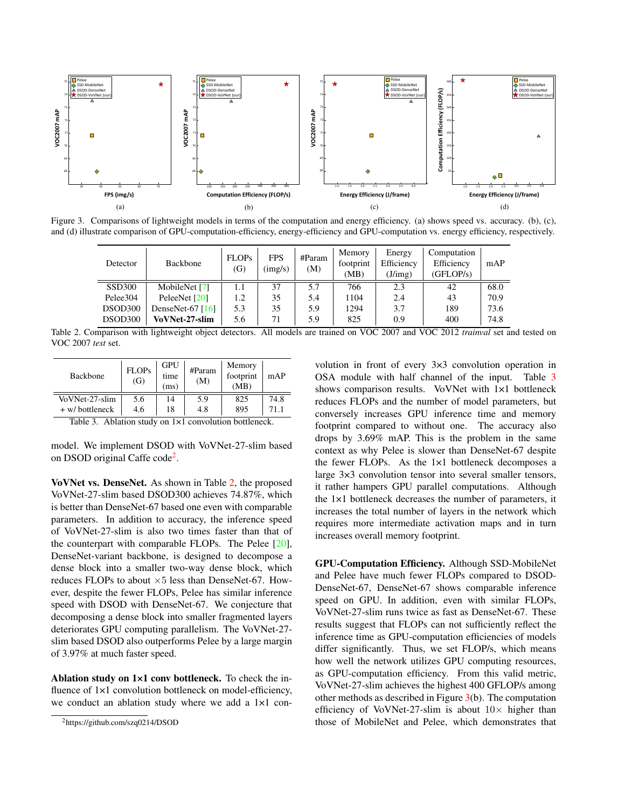

Figure 3. Comparisons of lightweight models in terms of the computation and energy efficiency. (a) shows speed vs. accuracy. (b), (c), and (d) illustrate comparison of GPU-computation-efficiency, energy-efficiency and GPU-computation vs. energy efficiency, respectively.

| Detector      | Backbone              | <b>FLOPs</b><br>(G) | <b>FPS</b><br>$\left(\frac{\text{img}}{\text{s}}\right)$ | #Param<br>(M) | Memory<br>footprint<br>(MB) | Energy<br>Efficiency<br>(J/img) | Computation<br>Efficiency<br>(GFLOP/s) | mAP  |
|---------------|-----------------------|---------------------|----------------------------------------------------------|---------------|-----------------------------|---------------------------------|----------------------------------------|------|
| <b>SSD300</b> | MobileNet [7]         | 1.1                 | 37                                                       | 5.7           | 766                         | 2.3                             | 42                                     | 68.0 |
| Pelee304      | PeleeNet [20]         | 1.2                 | 35                                                       | 5.4           | 1104                        | 2.4                             | 43                                     | 70.9 |
| DSOD300       | DenseNet-67 $[16]$    | 5.3                 | 35                                                       | 5.9           | 1294                        | 3.7                             | 189                                    | 73.6 |
| DSOD300       | <b>VoVNet-27-slim</b> | 5.6                 | 71                                                       | 5.9           | 825                         | 0.9                             | 400                                    | 74.8 |

Table 2. Comparison with lightweight object detectors. All models are trained on VOC 2007 and VOC 2012 *trainval* set and tested on VOC 2007 *test* set.

| <b>Backbone</b> | <b>FLOPs</b><br>(G) | <b>GPU</b><br>time<br>(ms) | #Param<br>(M) | Memory<br>footprint<br>(MB) | mAP  |
|-----------------|---------------------|----------------------------|---------------|-----------------------------|------|
| VoVNet-27-slim  | 5.6                 | 14                         | 5.9           | 825                         | 74.8 |
| + w/ bottleneck | 4.6                 | 18                         | 4.8           | 895                         | 71.1 |

Table 3. Ablation study on  $1\times1$  convolution bottleneck.

model. We implement DSOD with VoVNet-27-slim based on DSOD original Caffe code<sup>2</sup>.

VoVNet vs. DenseNet. As shown in Table 2, the proposed VoVNet-27-slim based DSOD300 achieves 74.87%, which is better than DenseNet-67 based one even with comparable parameters. In addition to accuracy, the inference speed of VoVNet-27-slim is also two times faster than that of the counterpart with comparable FLOPs. The Pelee [20], DenseNet-variant backbone, is designed to decompose a dense block into a smaller two-way dense block, which reduces FLOPs to about  $\times 5$  less than DenseNet-67. However, despite the fewer FLOPs, Pelee has similar inference speed with DSOD with DenseNet-67. We conjecture that decomposing a dense block into smaller fragmented layers deteriorates GPU computing parallelism. The VoVNet-27 slim based DSOD also outperforms Pelee by a large margin of 3.97% at much faster speed.

Ablation study on 1×1 conv bottleneck. To check the influence of  $1\times1$  convolution bottleneck on model-efficiency, we conduct an ablation study where we add a 1×1 convolution in front of every 3×3 convolution operation in OSA module with half channel of the input. Table 3 shows comparison results. VoVNet with 1×1 bottleneck reduces FLOPs and the number of model parameters, but conversely increases GPU inference time and memory footprint compared to without one. The accuracy also drops by 3.69% mAP. This is the problem in the same context as why Pelee is slower than DenseNet-67 despite the fewer FLOPs. As the 1×1 bottleneck decomposes a large 3×3 convolution tensor into several smaller tensors, it rather hampers GPU parallel computations. Although the 1×1 bottleneck decreases the number of parameters, it increases the total number of layers in the network which requires more intermediate activation maps and in turn increases overall memory footprint.

GPU-Computation Efficiency. Although SSD-MobileNet and Pelee have much fewer FLOPs compared to DSOD-DenseNet-67, DenseNet-67 shows comparable inference speed on GPU. In addition, even with similar FLOPs, VoVNet-27-slim runs twice as fast as DenseNet-67. These results suggest that FLOPs can not sufficiently reflect the inference time as GPU-computation efficiencies of models differ significantly. Thus, we set FLOP/s, which means how well the network utilizes GPU computing resources, as GPU-computation efficiency. From this valid metric, VoVNet-27-slim achieves the highest 400 GFLOP/s among other methods as described in Figure  $3(b)$ . The computation efficiency of VoVNet-27-slim is about  $10\times$  higher than those of MobileNet and Pelee, which demonstrates that

<sup>2</sup>https://github.com/szq0214/DSOD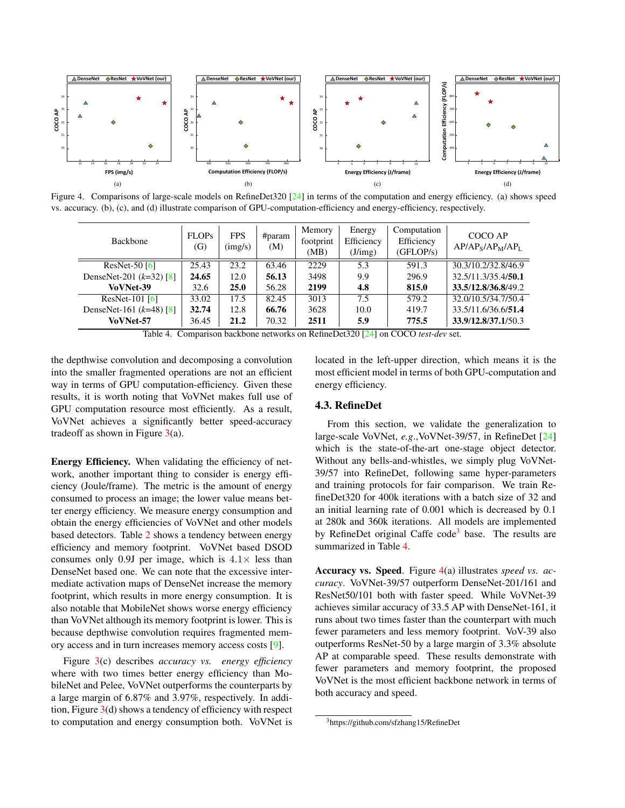

Figure 4. Comparisons of large-scale models on RefineDet320 [24] in terms of the computation and energy efficiency. (a) shows speed vs. accuracy. (b), (c), and (d) illustrate comparison of GPU-computation-efficiency and energy-efficiency, respectively.

| <b>Backbone</b>           | <b>FLOPs</b><br>(G) | <b>FPS</b><br>$\frac{\text{img}}{\text{s}}$ | #param<br>(M)                              | Memory<br>footprint<br>(MB) | Energy<br>Efficiency<br>(J/img) | Computation<br>Efficiency<br>(GFLOP/s) | COCO AP<br>$AP/APS/APM/APL$ |
|---------------------------|---------------------|---------------------------------------------|--------------------------------------------|-----------------------------|---------------------------------|----------------------------------------|-----------------------------|
| ResNet-50 $[6]$           | 25.43               | 23.2                                        | 63.46                                      | 2229                        | 5.3                             | 591.3                                  | 30.3/10.2/32.8/46.9         |
| DenseNet-201 $(k=32)$ [8] | 24.65               | 12.0                                        | 56.13                                      | 3498                        | 9.9                             | 296.9                                  | 32.5/11.3/35.4/50.1         |
| VoVNet-39                 | 32.6                | 25.0                                        | 56.28                                      | 2199                        | 4.8                             | 815.0                                  | 33.5/12.8/36.8/49.2         |
| ResNet-101 $[6]$          | 33.02               | 17.5                                        | 82.45                                      | 3013                        | 7.5                             | 579.2                                  | 32.0/10.5/34.7/50.4         |
| DenseNet-161 $(k=48)$ [8] | 32.74               | 12.8                                        | 66.76                                      | 3628                        | 10.0                            | 419.7                                  | 33.5/11.6/36.6/51.4         |
| VoVNet-57                 | 36.45               | 21.2                                        | 70.32                                      | 2511                        | 5.9                             | 775.5                                  | 33.9/12.8/37.1/50.3         |
| $T = 1, 1, 4$<br>$\sim$   |                     | $\mathbf{1}$                                | <b>Contract Contract Contract Contract</b> |                             | $P \cap P$ $P \cap P$           | $0.000 \cdot 1$                        |                             |

Table 4. Comparison backbone networks on RefineDet320 [24] on COCO *test-dev* set.

the depthwise convolution and decomposing a convolution into the smaller fragmented operations are not an efficient way in terms of GPU computation-efficiency. Given these results, it is worth noting that VoVNet makes full use of GPU computation resource most efficiently. As a result, VoVNet achieves a significantly better speed-accuracy tradeoff as shown in Figure  $3(a)$ .

Energy Efficiency. When validating the efficiency of network, another important thing to consider is energy efficiency (Joule/frame). The metric is the amount of energy consumed to process an image; the lower value means better energy efficiency. We measure energy consumption and obtain the energy efficiencies of VoVNet and other models based detectors. Table 2 shows a tendency between energy efficiency and memory footprint. VoVNet based DSOD consumes only 0.9J per image, which is  $4.1\times$  less than DenseNet based one. We can note that the excessive intermediate activation maps of DenseNet increase the memory footprint, which results in more energy consumption. It is also notable that MobileNet shows worse energy efficiency than VoVNet although its memory footprint is lower. This is because depthwise convolution requires fragmented memory access and in turn increases memory access costs [9].

Figure 3(c) describes *accuracy vs. energy efficiency* where with two times better energy efficiency than MobileNet and Pelee, VoVNet outperforms the counterparts by a large margin of 6.87% and 3.97%, respectively. In addition, Figure 3(d) shows a tendency of efficiency with respect to computation and energy consumption both. VoVNet is

located in the left-upper direction, which means it is the most efficient model in terms of both GPU-computation and energy efficiency.

### 4.3. RefineDet

From this section, we validate the generalization to large-scale VoVNet, *e.g*.,VoVNet-39/57, in RefineDet [24] which is the state-of-the-art one-stage object detector. Without any bells-and-whistles, we simply plug VoVNet-39/57 into RefineDet, following same hyper-parameters and training protocols for fair comparison. We train RefineDet320 for 400k iterations with a batch size of 32 and an initial learning rate of 0.001 which is decreased by 0.1 at 280k and 360k iterations. All models are implemented by RefineDet original Caffe code<sup>3</sup> base. The results are summarized in Table 4.

Accuracy vs. Speed. Figure 4(a) illustrates *speed vs. accuracy*. VoVNet-39/57 outperform DenseNet-201/161 and ResNet50/101 both with faster speed. While VoVNet-39 achieves similar accuracy of 33.5 AP with DenseNet-161, it runs about two times faster than the counterpart with much fewer parameters and less memory footprint. VoV-39 also outperforms ResNet-50 by a large margin of 3.3% absolute AP at comparable speed. These results demonstrate with fewer parameters and memory footprint, the proposed VoVNet is the most efficient backbone network in terms of both accuracy and speed.

<sup>3</sup>https://github.com/sfzhang15/RefineDet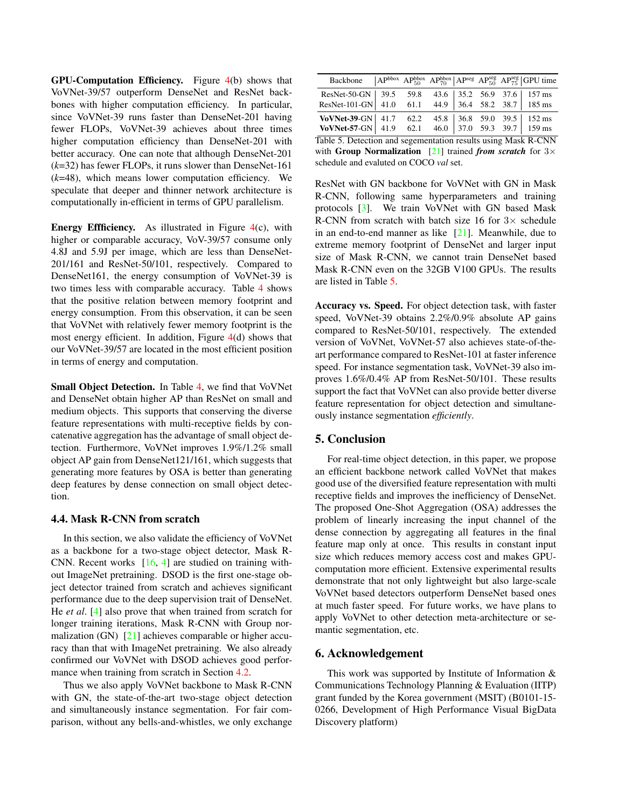GPU-Computation Efficiency. Figure 4(b) shows that VoVNet-39/57 outperform DenseNet and ResNet backbones with higher computation efficiency. In particular, since VoVNet-39 runs faster than DenseNet-201 having fewer FLOPs, VoVNet-39 achieves about three times higher computation efficiency than DenseNet-201 with better accuracy. One can note that although DenseNet-201 (*k*=32) has fewer FLOPs, it runs slower than DenseNet-161 (*k*=48), which means lower computation efficiency. We speculate that deeper and thinner network architecture is computationally in-efficient in terms of GPU parallelism.

**Energy Effficiency.** As illustrated in Figure  $4(c)$ , with higher or comparable accuracy, VoV-39/57 consume only 4.8J and 5.9J per image, which are less than DenseNet-201/161 and ResNet-50/101, respectively. Compared to DenseNet161, the energy consumption of VoVNet-39 is two times less with comparable accuracy. Table 4 shows that the positive relation between memory footprint and energy consumption. From this observation, it can be seen that VoVNet with relatively fewer memory footprint is the most energy efficient. In addition, Figure 4(d) shows that our VoVNet-39/57 are located in the most efficient position in terms of energy and computation.

Small Object Detection. In Table 4, we find that VoVNet and DenseNet obtain higher AP than ResNet on small and medium objects. This supports that conserving the diverse feature representations with multi-receptive fields by concatenative aggregation has the advantage of small object detection. Furthermore, VoVNet improves 1.9%/1.2% small object AP gain from DenseNet121/161, which suggests that generating more features by OSA is better than generating deep features by dense connection on small object detection.

## 4.4. Mask R-CNN from scratch

In this section, we also validate the efficiency of VoVNet as a backbone for a two-stage object detector, Mask R-CNN. Recent works [16, 4] are studied on training without ImageNet pretraining. DSOD is the first one-stage object detector trained from scratch and achieves significant performance due to the deep supervision trait of DenseNet. He *et al*. [4] also prove that when trained from scratch for longer training iterations, Mask R-CNN with Group normalization (GN) [21] achieves comparable or higher accuracy than that with ImageNet pretraining. We also already confirmed our VoVNet with DSOD achieves good performance when training from scratch in Section 4.2.

Thus we also apply VoVNet backbone to Mask R-CNN with GN, the state-of-the-art two-stage object detection and simultaneously instance segmentation. For fair comparison, without any bells-and-whistles, we only exchange

| Backbone   $AP^{bbox}$ $AP^{bbox}_{50}$ $AP^{bbox}_{70}$ $AP^{seg}_{70}$ $AP^{seg}_{50}$ $AP^{seg}_{75}$ $GPU$ time  |  |      |  |  |  |  |                                                          |  |  |
|----------------------------------------------------------------------------------------------------------------------|--|------|--|--|--|--|----------------------------------------------------------|--|--|
| $ResNet-50-GN$   39.5                                                                                                |  | 59.8 |  |  |  |  |                                                          |  |  |
| ResNet-101-GN 41.0 61.1                                                                                              |  |      |  |  |  |  | 43.6 35.2 56.9 37.6 157 ms<br>44.9 36.4 58.2 38.7 185 ms |  |  |
|                                                                                                                      |  |      |  |  |  |  |                                                          |  |  |
| <b>VoVNet-39-GN</b> 41.7 62.2 45.8 36.8 59.0 39.5 152 ms<br><b>VoVNet-57-GN</b> 41.9 62.1 46.0 37.0 59.3 39.7 159 ms |  |      |  |  |  |  |                                                          |  |  |
| Table 5. Detection and segementation results using Mask R-CNN                                                        |  |      |  |  |  |  |                                                          |  |  |
| with Group Normalization [21] trained from scratch for $3\times$                                                     |  |      |  |  |  |  |                                                          |  |  |

schedule and evaluted on COCO *val* set.

ResNet with GN backbone for VoVNet with GN in Mask R-CNN, following same hyperparameters and training protocols [3]. We train VoVNet with GN based Mask R-CNN from scratch with batch size 16 for  $3\times$  schedule in an end-to-end manner as like  $[21]$ . Meanwhile, due to extreme memory footprint of DenseNet and larger input size of Mask R-CNN, we cannot train DenseNet based Mask R-CNN even on the 32GB V100 GPUs. The results are listed in Table 5.

Accuracy vs. Speed. For object detection task, with faster speed, VoVNet-39 obtains 2.2%/0.9% absolute AP gains compared to ResNet-50/101, respectively. The extended version of VoVNet, VoVNet-57 also achieves state-of-theart performance compared to ResNet-101 at faster inference speed. For instance segmentation task, VoVNet-39 also improves 1.6%/0.4% AP from ResNet-50/101. These results support the fact that VoVNet can also provide better diverse feature representation for object detection and simultaneously instance segmentation *efficiently*.

## 5. Conclusion

For real-time object detection, in this paper, we propose an efficient backbone network called VoVNet that makes good use of the diversified feature representation with multi receptive fields and improves the inefficiency of DenseNet. The proposed One-Shot Aggregation (OSA) addresses the problem of linearly increasing the input channel of the dense connection by aggregating all features in the final feature map only at once. This results in constant input size which reduces memory access cost and makes GPUcomputation more efficient. Extensive experimental results demonstrate that not only lightweight but also large-scale VoVNet based detectors outperform DenseNet based ones at much faster speed. For future works, we have plans to apply VoVNet to other detection meta-architecture or semantic segmentation, etc.

## 6. Acknowledgement

This work was supported by Institute of Information & Communications Technology Planning & Evaluation (IITP) grant funded by the Korea government (MSIT) (B0101-15- 0266, Development of High Performance Visual BigData Discovery platform)